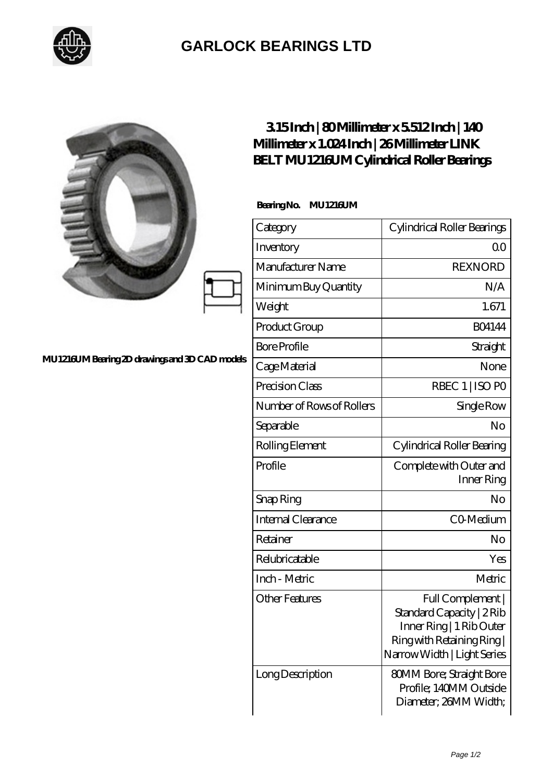

## **[GARLOCK BEARINGS LTD](https://m.letterstopriests.com)**

|                                               | $315$ Inch   80Millimeter x 5512Inch   140<br>Millimeter x 1.024 Inch   26 Millimeter LINK<br>BELT MU1216UM Cylindrical Roller Bearings |                                                                                                                                      |
|-----------------------------------------------|-----------------------------------------------------------------------------------------------------------------------------------------|--------------------------------------------------------------------------------------------------------------------------------------|
| MU1216UMBearing 2D drawings and 3D CAD models | BearingNo. MU1216UM                                                                                                                     |                                                                                                                                      |
|                                               | Category                                                                                                                                | Cylindrical Roller Bearings                                                                                                          |
|                                               | Inventory                                                                                                                               | 0 <sup>0</sup>                                                                                                                       |
|                                               | Manufacturer Name                                                                                                                       | <b>REXNORD</b>                                                                                                                       |
|                                               | Minimum Buy Quantity                                                                                                                    | N/A                                                                                                                                  |
|                                               | Weight                                                                                                                                  | 1.671                                                                                                                                |
|                                               | Product Group                                                                                                                           | <b>BO4144</b>                                                                                                                        |
|                                               | <b>Bore Profile</b>                                                                                                                     | Straight                                                                                                                             |
|                                               | Cage Material                                                                                                                           | None                                                                                                                                 |
|                                               | Precision Class                                                                                                                         | RBEC 1   ISO PO                                                                                                                      |
|                                               | Number of Rows of Rollers                                                                                                               | Single Row                                                                                                                           |
|                                               | Separable                                                                                                                               | N <sub>o</sub>                                                                                                                       |
|                                               | Rolling Element                                                                                                                         | Cylindrical Roller Bearing                                                                                                           |
|                                               | Profile                                                                                                                                 | Complete with Outer and<br>Inner Ring                                                                                                |
|                                               | Snap Ring                                                                                                                               | No                                                                                                                                   |
|                                               | Internal Clearance                                                                                                                      | CO-Medium                                                                                                                            |
|                                               | Retainer                                                                                                                                | No                                                                                                                                   |
|                                               | Relubricatable                                                                                                                          | Yes                                                                                                                                  |
|                                               | Inch - Metric                                                                                                                           | Metric                                                                                                                               |
|                                               | <b>Other Features</b>                                                                                                                   | Full Complement  <br>Standard Capacity   2Rib<br>Inner Ring   1 Rib Outer<br>Ring with Retaining Ring<br>Narrow Width   Light Series |
|                                               | Long Description                                                                                                                        | <b>80MM Bore; Straight Bore</b><br>Profile; 140MM Outside<br>Diameter; 26MM Width;                                                   |